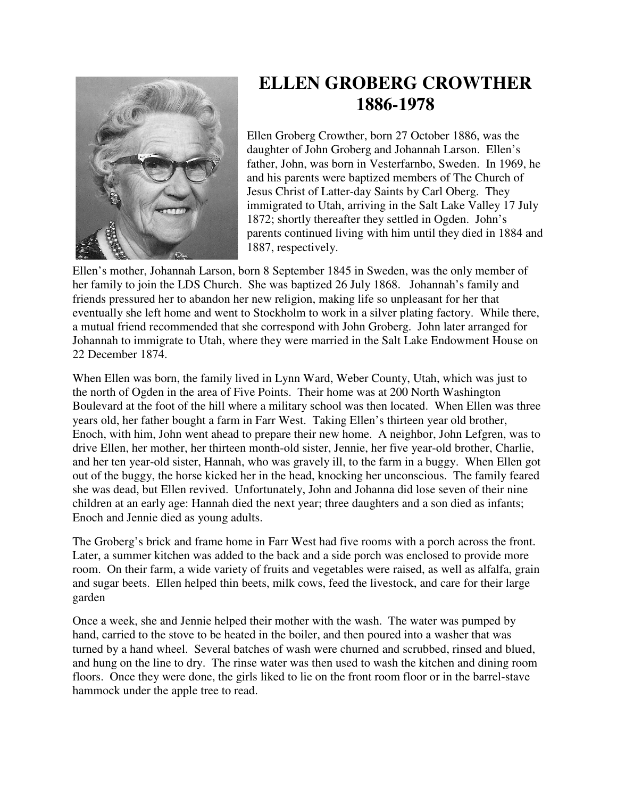

## **ELLEN GROBERG CROWTHER 1886-1978**

Ellen Groberg Crowther, born 27 October 1886, was the daughter of John Groberg and Johannah Larson. Ellen's father, John, was born in Vesterfarnbo, Sweden. In 1969, he and his parents were baptized members of The Church of Jesus Christ of Latter-day Saints by Carl Oberg. They immigrated to Utah, arriving in the Salt Lake Valley 17 July 1872; shortly thereafter they settled in Ogden. John's parents continued living with him until they died in 1884 and 1887, respectively.

Ellen's mother, Johannah Larson, born 8 September 1845 in Sweden, was the only member of her family to join the LDS Church. She was baptized 26 July 1868. Johannah's family and friends pressured her to abandon her new religion, making life so unpleasant for her that eventually she left home and went to Stockholm to work in a silver plating factory. While there, a mutual friend recommended that she correspond with John Groberg. John later arranged for Johannah to immigrate to Utah, where they were married in the Salt Lake Endowment House on 22 December 1874.

When Ellen was born, the family lived in Lynn Ward, Weber County, Utah, which was just to the north of Ogden in the area of Five Points. Their home was at 200 North Washington Boulevard at the foot of the hill where a military school was then located. When Ellen was three years old, her father bought a farm in Farr West. Taking Ellen's thirteen year old brother, Enoch, with him, John went ahead to prepare their new home. A neighbor, John Lefgren, was to drive Ellen, her mother, her thirteen month-old sister, Jennie, her five year-old brother, Charlie, and her ten year-old sister, Hannah, who was gravely ill, to the farm in a buggy. When Ellen got out of the buggy, the horse kicked her in the head, knocking her unconscious. The family feared she was dead, but Ellen revived. Unfortunately, John and Johanna did lose seven of their nine children at an early age: Hannah died the next year; three daughters and a son died as infants; Enoch and Jennie died as young adults.

The Groberg's brick and frame home in Farr West had five rooms with a porch across the front. Later, a summer kitchen was added to the back and a side porch was enclosed to provide more room. On their farm, a wide variety of fruits and vegetables were raised, as well as alfalfa, grain and sugar beets. Ellen helped thin beets, milk cows, feed the livestock, and care for their large garden

Once a week, she and Jennie helped their mother with the wash. The water was pumped by hand, carried to the stove to be heated in the boiler, and then poured into a washer that was turned by a hand wheel. Several batches of wash were churned and scrubbed, rinsed and blued, and hung on the line to dry. The rinse water was then used to wash the kitchen and dining room floors. Once they were done, the girls liked to lie on the front room floor or in the barrel-stave hammock under the apple tree to read.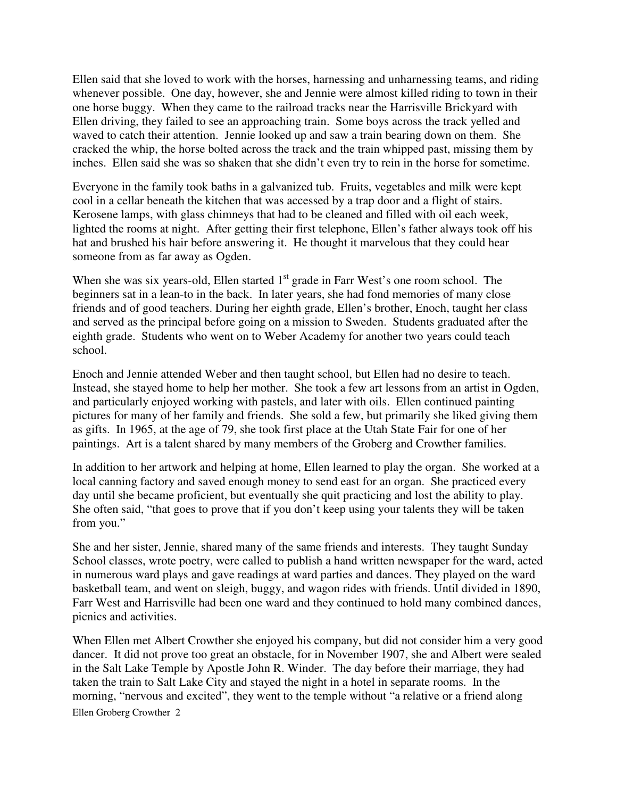Ellen said that she loved to work with the horses, harnessing and unharnessing teams, and riding whenever possible. One day, however, she and Jennie were almost killed riding to town in their one horse buggy. When they came to the railroad tracks near the Harrisville Brickyard with Ellen driving, they failed to see an approaching train. Some boys across the track yelled and waved to catch their attention. Jennie looked up and saw a train bearing down on them. She cracked the whip, the horse bolted across the track and the train whipped past, missing them by inches. Ellen said she was so shaken that she didn't even try to rein in the horse for sometime.

Everyone in the family took baths in a galvanized tub. Fruits, vegetables and milk were kept cool in a cellar beneath the kitchen that was accessed by a trap door and a flight of stairs. Kerosene lamps, with glass chimneys that had to be cleaned and filled with oil each week, lighted the rooms at night. After getting their first telephone, Ellen's father always took off his hat and brushed his hair before answering it. He thought it marvelous that they could hear someone from as far away as Ogden.

When she was six years-old, Ellen started  $1<sup>st</sup>$  grade in Farr West's one room school. The beginners sat in a lean-to in the back. In later years, she had fond memories of many close friends and of good teachers. During her eighth grade, Ellen's brother, Enoch, taught her class and served as the principal before going on a mission to Sweden. Students graduated after the eighth grade. Students who went on to Weber Academy for another two years could teach school.

Enoch and Jennie attended Weber and then taught school, but Ellen had no desire to teach. Instead, she stayed home to help her mother. She took a few art lessons from an artist in Ogden, and particularly enjoyed working with pastels, and later with oils. Ellen continued painting pictures for many of her family and friends. She sold a few, but primarily she liked giving them as gifts. In 1965, at the age of 79, she took first place at the Utah State Fair for one of her paintings. Art is a talent shared by many members of the Groberg and Crowther families.

In addition to her artwork and helping at home, Ellen learned to play the organ. She worked at a local canning factory and saved enough money to send east for an organ. She practiced every day until she became proficient, but eventually she quit practicing and lost the ability to play. She often said, "that goes to prove that if you don't keep using your talents they will be taken from you."

She and her sister, Jennie, shared many of the same friends and interests. They taught Sunday School classes, wrote poetry, were called to publish a hand written newspaper for the ward, acted in numerous ward plays and gave readings at ward parties and dances. They played on the ward basketball team, and went on sleigh, buggy, and wagon rides with friends. Until divided in 1890, Farr West and Harrisville had been one ward and they continued to hold many combined dances, picnics and activities.

Ellen Groberg Crowther 2 When Ellen met Albert Crowther she enjoyed his company, but did not consider him a very good dancer. It did not prove too great an obstacle, for in November 1907, she and Albert were sealed in the Salt Lake Temple by Apostle John R. Winder. The day before their marriage, they had taken the train to Salt Lake City and stayed the night in a hotel in separate rooms. In the morning, "nervous and excited", they went to the temple without "a relative or a friend along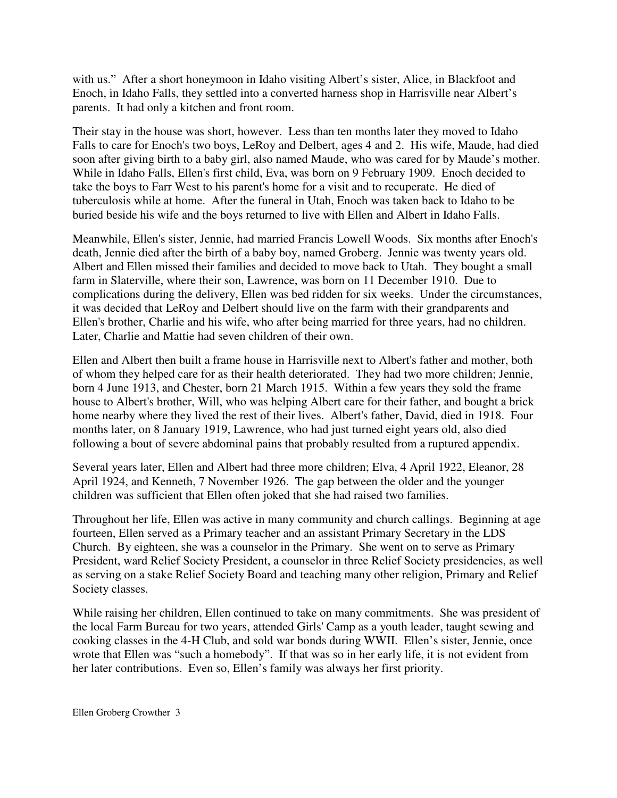with us." After a short honeymoon in Idaho visiting Albert's sister, Alice, in Blackfoot and Enoch, in Idaho Falls, they settled into a converted harness shop in Harrisville near Albert's parents. It had only a kitchen and front room.

Their stay in the house was short, however. Less than ten months later they moved to Idaho Falls to care for Enoch's two boys, LeRoy and Delbert, ages 4 and 2. His wife, Maude, had died soon after giving birth to a baby girl, also named Maude, who was cared for by Maude's mother. While in Idaho Falls, Ellen's first child, Eva, was born on 9 February 1909. Enoch decided to take the boys to Farr West to his parent's home for a visit and to recuperate. He died of tuberculosis while at home. After the funeral in Utah, Enoch was taken back to Idaho to be buried beside his wife and the boys returned to live with Ellen and Albert in Idaho Falls.

Meanwhile, Ellen's sister, Jennie, had married Francis Lowell Woods. Six months after Enoch's death, Jennie died after the birth of a baby boy, named Groberg. Jennie was twenty years old. Albert and Ellen missed their families and decided to move back to Utah. They bought a small farm in Slaterville, where their son, Lawrence, was born on 11 December 1910. Due to complications during the delivery, Ellen was bed ridden for six weeks. Under the circumstances, it was decided that LeRoy and Delbert should live on the farm with their grandparents and Ellen's brother, Charlie and his wife, who after being married for three years, had no children. Later, Charlie and Mattie had seven children of their own.

Ellen and Albert then built a frame house in Harrisville next to Albert's father and mother, both of whom they helped care for as their health deteriorated. They had two more children; Jennie, born 4 June 1913, and Chester, born 21 March 1915. Within a few years they sold the frame house to Albert's brother, Will, who was helping Albert care for their father, and bought a brick home nearby where they lived the rest of their lives. Albert's father, David, died in 1918. Four months later, on 8 January 1919, Lawrence, who had just turned eight years old, also died following a bout of severe abdominal pains that probably resulted from a ruptured appendix.

Several years later, Ellen and Albert had three more children; Elva, 4 April 1922, Eleanor, 28 April 1924, and Kenneth, 7 November 1926. The gap between the older and the younger children was sufficient that Ellen often joked that she had raised two families.

Throughout her life, Ellen was active in many community and church callings. Beginning at age fourteen, Ellen served as a Primary teacher and an assistant Primary Secretary in the LDS Church. By eighteen, she was a counselor in the Primary. She went on to serve as Primary President, ward Relief Society President, a counselor in three Relief Society presidencies, as well as serving on a stake Relief Society Board and teaching many other religion, Primary and Relief Society classes.

While raising her children, Ellen continued to take on many commitments. She was president of the local Farm Bureau for two years, attended Girls' Camp as a youth leader, taught sewing and cooking classes in the 4-H Club, and sold war bonds during WWII. Ellen's sister, Jennie, once wrote that Ellen was "such a homebody". If that was so in her early life, it is not evident from her later contributions. Even so, Ellen's family was always her first priority.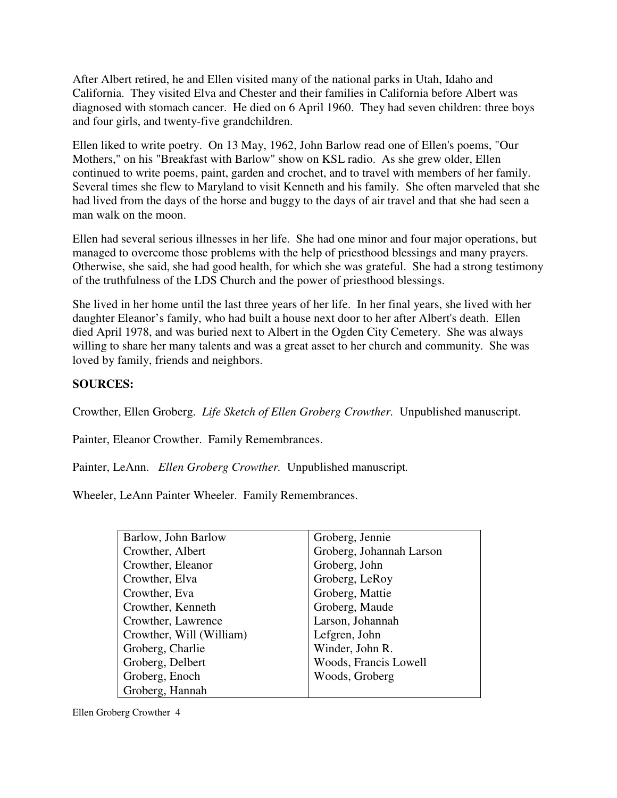After Albert retired, he and Ellen visited many of the national parks in Utah, Idaho and California. They visited Elva and Chester and their families in California before Albert was diagnosed with stomach cancer. He died on 6 April 1960. They had seven children: three boys and four girls, and twenty-five grandchildren.

Ellen liked to write poetry. On 13 May, 1962, John Barlow read one of Ellen's poems, "Our Mothers," on his "Breakfast with Barlow" show on KSL radio. As she grew older, Ellen continued to write poems, paint, garden and crochet, and to travel with members of her family. Several times she flew to Maryland to visit Kenneth and his family. She often marveled that she had lived from the days of the horse and buggy to the days of air travel and that she had seen a man walk on the moon.

Ellen had several serious illnesses in her life. She had one minor and four major operations, but managed to overcome those problems with the help of priesthood blessings and many prayers. Otherwise, she said, she had good health, for which she was grateful. She had a strong testimony of the truthfulness of the LDS Church and the power of priesthood blessings.

She lived in her home until the last three years of her life. In her final years, she lived with her daughter Eleanor's family, who had built a house next door to her after Albert's death. Ellen died April 1978, and was buried next to Albert in the Ogden City Cemetery. She was always willing to share her many talents and was a great asset to her church and community. She was loved by family, friends and neighbors.

## **SOURCES:**

Crowther, Ellen Groberg. *Life Sketch of Ellen Groberg Crowther.* Unpublished manuscript.

Painter, Eleanor Crowther. Family Remembrances.

Painter, LeAnn. *Ellen Groberg Crowther.* Unpublished manuscript*.* 

Wheeler, LeAnn Painter Wheeler. Family Remembrances.

| Barlow, John Barlow      | Groberg, Jennie          |
|--------------------------|--------------------------|
| Crowther, Albert         | Groberg, Johannah Larson |
| Crowther, Eleanor        | Groberg, John            |
| Crowther, Elva           | Groberg, LeRoy           |
| Crowther, Eva            | Groberg, Mattie          |
| Crowther, Kenneth        | Groberg, Maude           |
| Crowther, Lawrence       | Larson, Johannah         |
| Crowther, Will (William) | Lefgren, John            |
| Groberg, Charlie         | Winder, John R.          |
| Groberg, Delbert         | Woods, Francis Lowell    |
| Groberg, Enoch           | Woods, Groberg           |
| Groberg, Hannah          |                          |

Ellen Groberg Crowther 4